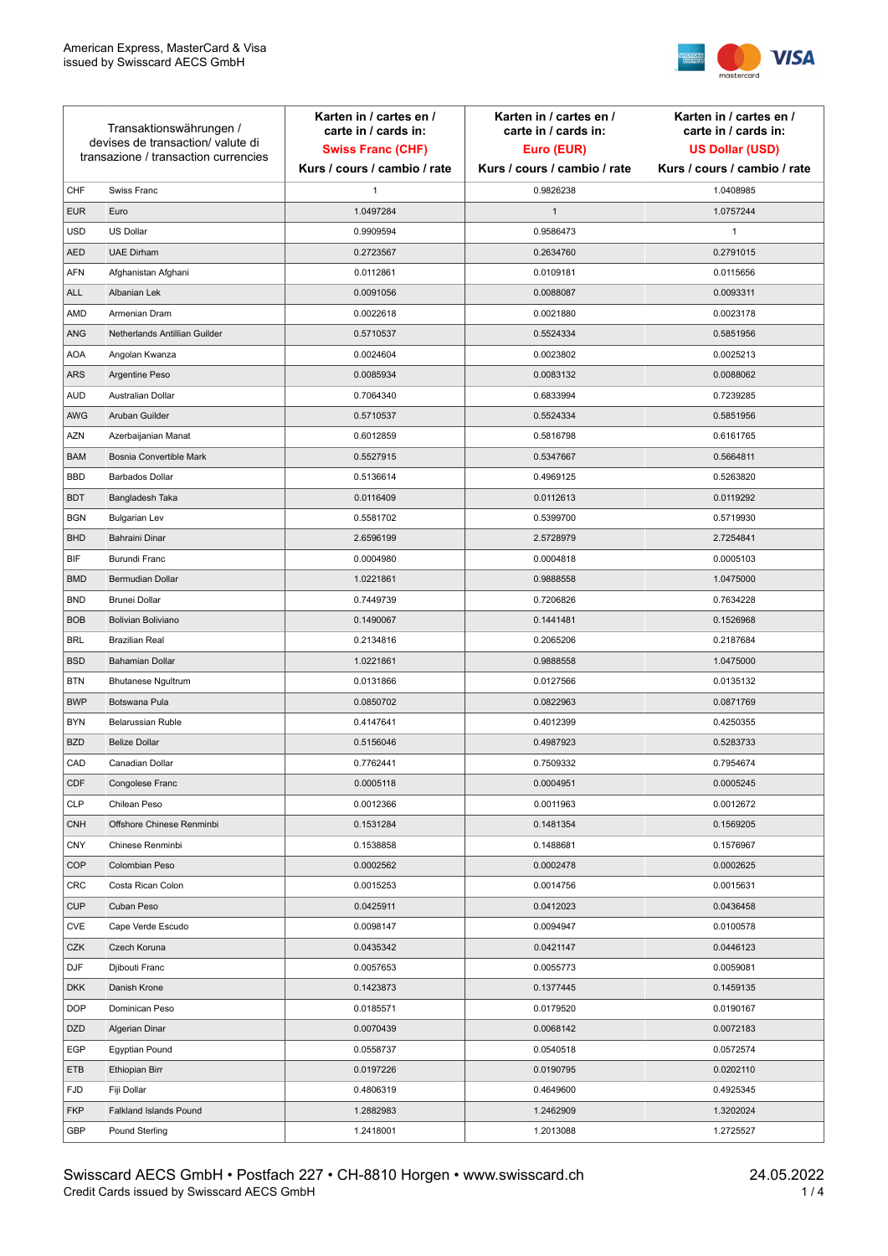

| Transaktionswährungen /<br>devises de transaction/valute di<br>transazione / transaction currencies |                               | Karten in / cartes en /<br>carte in / cards in:<br><b>Swiss Franc (CHF)</b> | Karten in / cartes en /<br>carte in / cards in:<br>Euro (EUR) | Karten in / cartes en /<br>carte in / cards in:<br><b>US Dollar (USD)</b> |
|-----------------------------------------------------------------------------------------------------|-------------------------------|-----------------------------------------------------------------------------|---------------------------------------------------------------|---------------------------------------------------------------------------|
|                                                                                                     |                               | Kurs / cours / cambio / rate                                                | Kurs / cours / cambio / rate                                  | Kurs / cours / cambio / rate                                              |
| CHF                                                                                                 | Swiss Franc                   | 1                                                                           | 0.9826238                                                     | 1.0408985                                                                 |
| <b>EUR</b>                                                                                          | Euro                          | 1.0497284                                                                   | $\mathbf{1}$                                                  | 1.0757244                                                                 |
| <b>USD</b>                                                                                          | <b>US Dollar</b>              | 0.9909594                                                                   | 0.9586473                                                     | 1                                                                         |
| <b>AED</b>                                                                                          | <b>UAE Dirham</b>             | 0.2723567                                                                   | 0.2634760                                                     | 0.2791015                                                                 |
| <b>AFN</b>                                                                                          | Afghanistan Afghani           | 0.0112861                                                                   | 0.0109181                                                     | 0.0115656                                                                 |
| <b>ALL</b>                                                                                          | Albanian Lek                  | 0.0091056                                                                   | 0.0088087                                                     | 0.0093311                                                                 |
| AMD                                                                                                 | Armenian Dram                 | 0.0022618                                                                   | 0.0021880                                                     | 0.0023178                                                                 |
| ANG                                                                                                 | Netherlands Antillian Guilder | 0.5710537                                                                   | 0.5524334                                                     | 0.5851956                                                                 |
| <b>AOA</b>                                                                                          | Angolan Kwanza                | 0.0024604                                                                   | 0.0023802                                                     | 0.0025213                                                                 |
| ARS                                                                                                 | Argentine Peso                | 0.0085934                                                                   | 0.0083132                                                     | 0.0088062                                                                 |
| <b>AUD</b>                                                                                          | Australian Dollar             | 0.7064340                                                                   | 0.6833994                                                     | 0.7239285                                                                 |
| AWG                                                                                                 | Aruban Guilder                | 0.5710537                                                                   | 0.5524334                                                     | 0.5851956                                                                 |
| <b>AZN</b>                                                                                          | Azerbaijanian Manat           | 0.6012859                                                                   | 0.5816798                                                     | 0.6161765                                                                 |
| <b>BAM</b>                                                                                          | Bosnia Convertible Mark       | 0.5527915                                                                   | 0.5347667                                                     | 0.5664811                                                                 |
| <b>BBD</b>                                                                                          | <b>Barbados Dollar</b>        | 0.5136614                                                                   | 0.4969125                                                     | 0.5263820                                                                 |
| <b>BDT</b>                                                                                          | Bangladesh Taka               | 0.0116409                                                                   | 0.0112613                                                     | 0.0119292                                                                 |
| <b>BGN</b>                                                                                          | <b>Bulgarian Lev</b>          | 0.5581702                                                                   | 0.5399700                                                     | 0.5719930                                                                 |
| <b>BHD</b>                                                                                          | Bahraini Dinar                | 2.6596199                                                                   | 2.5728979                                                     | 2.7254841                                                                 |
| BIF                                                                                                 | Burundi Franc                 | 0.0004980                                                                   | 0.0004818                                                     | 0.0005103                                                                 |
| <b>BMD</b>                                                                                          | Bermudian Dollar              | 1.0221861                                                                   | 0.9888558                                                     | 1.0475000                                                                 |
| <b>BND</b>                                                                                          | <b>Brunei Dollar</b>          | 0.7449739                                                                   | 0.7206826                                                     | 0.7634228                                                                 |
| <b>BOB</b>                                                                                          | Bolivian Boliviano            | 0.1490067                                                                   | 0.1441481                                                     | 0.1526968                                                                 |
| <b>BRL</b>                                                                                          | <b>Brazilian Real</b>         | 0.2134816                                                                   | 0.2065206                                                     | 0.2187684                                                                 |
| <b>BSD</b>                                                                                          | <b>Bahamian Dollar</b>        | 1.0221861                                                                   | 0.9888558                                                     | 1.0475000                                                                 |
| <b>BTN</b>                                                                                          | <b>Bhutanese Ngultrum</b>     | 0.0131866                                                                   | 0.0127566                                                     | 0.0135132                                                                 |
| <b>BWP</b>                                                                                          | Botswana Pula                 | 0.0850702                                                                   | 0.0822963                                                     | 0.0871769                                                                 |
| <b>BYN</b>                                                                                          | Belarussian Ruble             | 0.4147641                                                                   | 0.4012399                                                     | 0.4250355                                                                 |
| <b>BZD</b>                                                                                          | <b>Belize Dollar</b>          | 0.5156046                                                                   | 0.4987923                                                     | 0.5283733                                                                 |
| CAD                                                                                                 | Canadian Dollar               | 0.7762441                                                                   | 0.7509332                                                     | 0.7954674                                                                 |
| CDF                                                                                                 | Congolese Franc               | 0.0005118                                                                   | 0.0004951                                                     | 0.0005245                                                                 |
| <b>CLP</b>                                                                                          | Chilean Peso                  | 0.0012366                                                                   | 0.0011963                                                     | 0.0012672                                                                 |
| <b>CNH</b>                                                                                          | Offshore Chinese Renminbi     | 0.1531284                                                                   | 0.1481354                                                     | 0.1569205                                                                 |
| <b>CNY</b>                                                                                          | Chinese Renminbi              | 0.1538858                                                                   | 0.1488681                                                     | 0.1576967                                                                 |
| <b>COP</b>                                                                                          | Colombian Peso                | 0.0002562                                                                   | 0.0002478                                                     | 0.0002625                                                                 |
| CRC                                                                                                 | Costa Rican Colon             | 0.0015253                                                                   | 0.0014756                                                     | 0.0015631                                                                 |
| <b>CUP</b>                                                                                          | Cuban Peso                    | 0.0425911                                                                   | 0.0412023                                                     | 0.0436458                                                                 |
| <b>CVE</b>                                                                                          | Cape Verde Escudo             | 0.0098147                                                                   | 0.0094947                                                     | 0.0100578                                                                 |
| CZK                                                                                                 | Czech Koruna                  | 0.0435342                                                                   |                                                               |                                                                           |
| <b>DJF</b>                                                                                          | Djibouti Franc                |                                                                             | 0.0421147                                                     | 0.0446123<br>0.0059081                                                    |
|                                                                                                     |                               | 0.0057653                                                                   | 0.0055773                                                     |                                                                           |
| <b>DKK</b>                                                                                          | Danish Krone                  | 0.1423873                                                                   | 0.1377445                                                     | 0.1459135                                                                 |
| <b>DOP</b>                                                                                          | Dominican Peso                | 0.0185571                                                                   | 0.0179520                                                     | 0.0190167                                                                 |
| <b>DZD</b>                                                                                          | Algerian Dinar                | 0.0070439                                                                   | 0.0068142                                                     | 0.0072183                                                                 |
| EGP                                                                                                 | Egyptian Pound                | 0.0558737                                                                   | 0.0540518                                                     | 0.0572574                                                                 |
| ETB                                                                                                 | Ethiopian Birr                | 0.0197226                                                                   | 0.0190795                                                     | 0.0202110                                                                 |
| <b>FJD</b>                                                                                          | Fiji Dollar                   | 0.4806319                                                                   | 0.4649600                                                     | 0.4925345                                                                 |
| <b>FKP</b>                                                                                          | Falkland Islands Pound        | 1.2882983                                                                   | 1.2462909                                                     | 1.3202024                                                                 |
| GBP                                                                                                 | Pound Sterling                | 1.2418001                                                                   | 1.2013088                                                     | 1.2725527                                                                 |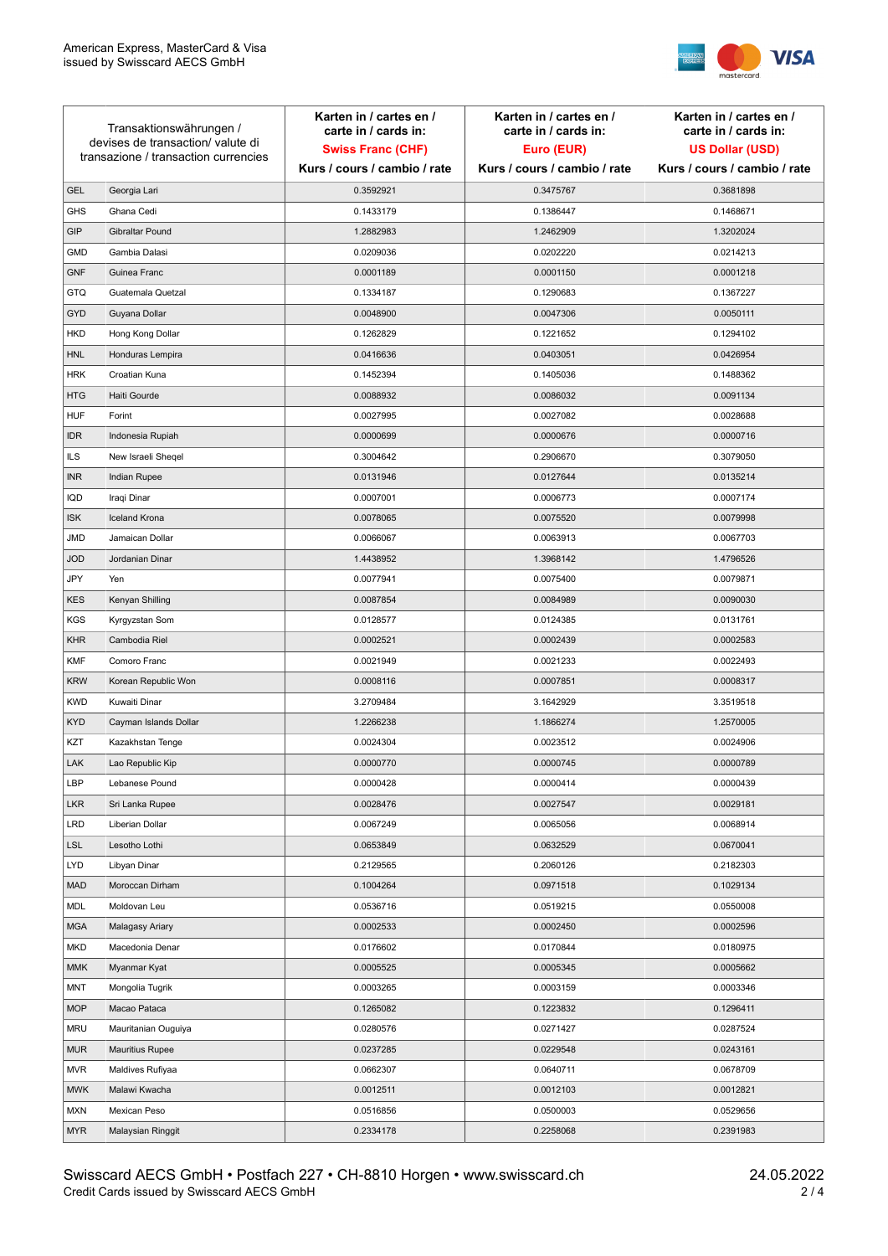

| Transaktionswährungen /<br>devises de transaction/ valute di |                                      | Karten in / cartes en /<br>carte in / cards in: | Karten in / cartes en /<br>carte in / cards in: | Karten in / cartes en /<br>carte in / cards in: |
|--------------------------------------------------------------|--------------------------------------|-------------------------------------------------|-------------------------------------------------|-------------------------------------------------|
|                                                              |                                      | <b>Swiss Franc (CHF)</b>                        | Euro (EUR)                                      | <b>US Dollar (USD)</b>                          |
|                                                              | transazione / transaction currencies | Kurs / cours / cambio / rate                    | Kurs / cours / cambio / rate                    | Kurs / cours / cambio / rate                    |
| <b>GEL</b>                                                   | Georgia Lari                         | 0.3592921                                       | 0.3475767                                       | 0.3681898                                       |
| <b>GHS</b>                                                   | Ghana Cedi                           | 0.1433179                                       | 0.1386447                                       | 0.1468671                                       |
| GIP                                                          | Gibraltar Pound                      | 1.2882983                                       | 1.2462909                                       | 1.3202024                                       |
| <b>GMD</b>                                                   | Gambia Dalasi                        | 0.0209036                                       | 0.0202220                                       | 0.0214213                                       |
| <b>GNF</b>                                                   | Guinea Franc                         | 0.0001189                                       | 0.0001150                                       | 0.0001218                                       |
| GTQ                                                          | Guatemala Quetzal                    | 0.1334187                                       | 0.1290683                                       | 0.1367227                                       |
| <b>GYD</b>                                                   | Guyana Dollar                        | 0.0048900                                       | 0.0047306                                       | 0.0050111                                       |
| <b>HKD</b>                                                   | Hong Kong Dollar                     | 0.1262829                                       | 0.1221652                                       | 0.1294102                                       |
| <b>HNL</b>                                                   | Honduras Lempira                     | 0.0416636                                       | 0.0403051                                       | 0.0426954                                       |
| <b>HRK</b>                                                   | Croatian Kuna                        | 0.1452394                                       | 0.1405036                                       | 0.1488362                                       |
| <b>HTG</b>                                                   | Haiti Gourde                         | 0.0088932                                       | 0.0086032                                       | 0.0091134                                       |
| <b>HUF</b>                                                   | Forint                               | 0.0027995                                       | 0.0027082                                       | 0.0028688                                       |
| <b>IDR</b>                                                   | Indonesia Rupiah                     | 0.0000699                                       | 0.0000676                                       | 0.0000716                                       |
| <b>ILS</b>                                                   | New Israeli Sheqel                   | 0.3004642                                       | 0.2906670                                       | 0.3079050                                       |
| <b>INR</b>                                                   | Indian Rupee                         | 0.0131946                                       | 0.0127644                                       | 0.0135214                                       |
| IQD                                                          | Iraqi Dinar                          | 0.0007001                                       | 0.0006773                                       | 0.0007174                                       |
| <b>ISK</b>                                                   | <b>Iceland Krona</b>                 | 0.0078065                                       | 0.0075520                                       | 0.0079998                                       |
| JMD                                                          | Jamaican Dollar                      | 0.0066067                                       | 0.0063913                                       | 0.0067703                                       |
| <b>JOD</b>                                                   | Jordanian Dinar                      | 1.4438952                                       | 1.3968142                                       | 1.4796526                                       |
| JPY                                                          | Yen                                  | 0.0077941                                       | 0.0075400                                       | 0.0079871                                       |
| <b>KES</b>                                                   | Kenyan Shilling                      | 0.0087854                                       | 0.0084989                                       | 0.0090030                                       |
| <b>KGS</b>                                                   | Kyrgyzstan Som                       | 0.0128577                                       | 0.0124385                                       | 0.0131761                                       |
| <b>KHR</b>                                                   | Cambodia Riel                        | 0.0002521                                       | 0.0002439                                       | 0.0002583                                       |
| <b>KMF</b>                                                   | Comoro Franc                         | 0.0021949                                       | 0.0021233                                       | 0.0022493                                       |
| <b>KRW</b>                                                   | Korean Republic Won                  | 0.0008116                                       | 0.0007851                                       | 0.0008317                                       |
| <b>KWD</b>                                                   | Kuwaiti Dinar                        | 3.2709484                                       | 3.1642929                                       | 3.3519518                                       |
| <b>KYD</b>                                                   | Cayman Islands Dollar                | 1.2266238                                       | 1.1866274                                       | 1.2570005                                       |
| KZT                                                          | Kazakhstan Tenge                     | 0.0024304                                       | 0.0023512                                       | 0.0024906                                       |
| LAK                                                          | Lao Republic Kip                     | 0.0000770                                       | 0.0000745                                       | 0.0000789                                       |
| LBP                                                          | Lebanese Pound                       | 0.0000428                                       | 0.0000414                                       | 0.0000439                                       |
| <b>LKR</b>                                                   | Sri Lanka Rupee                      | 0.0028476                                       | 0.0027547                                       | 0.0029181                                       |
| <b>LRD</b>                                                   | Liberian Dollar                      | 0.0067249                                       | 0.0065056                                       | 0.0068914                                       |
| <b>LSL</b>                                                   | Lesotho Lothi                        | 0.0653849                                       | 0.0632529                                       | 0.0670041                                       |
| LYD                                                          | Libyan Dinar                         | 0.2129565                                       | 0.2060126                                       | 0.2182303                                       |
| <b>MAD</b>                                                   | Moroccan Dirham                      | 0.1004264                                       | 0.0971518                                       | 0.1029134                                       |
| MDL                                                          | Moldovan Leu                         | 0.0536716                                       | 0.0519215                                       | 0.0550008                                       |
| <b>MGA</b>                                                   | Malagasy Ariary                      | 0.0002533                                       | 0.0002450                                       | 0.0002596                                       |
| <b>MKD</b>                                                   | Macedonia Denar                      | 0.0176602                                       | 0.0170844                                       | 0.0180975                                       |
| MMK                                                          | Myanmar Kyat                         | 0.0005525                                       | 0.0005345                                       | 0.0005662                                       |
| MNT                                                          | Mongolia Tugrik                      | 0.0003265                                       | 0.0003159                                       | 0.0003346                                       |
| <b>MOP</b>                                                   | Macao Pataca                         | 0.1265082                                       | 0.1223832                                       | 0.1296411                                       |
| <b>MRU</b>                                                   | Mauritanian Ouguiya                  | 0.0280576                                       | 0.0271427                                       | 0.0287524                                       |
| MUR                                                          | <b>Mauritius Rupee</b>               | 0.0237285                                       | 0.0229548                                       | 0.0243161                                       |
| <b>MVR</b>                                                   | Maldives Rufiyaa                     | 0.0662307                                       | 0.0640711                                       | 0.0678709                                       |
| <b>MWK</b>                                                   | Malawi Kwacha                        | 0.0012511                                       | 0.0012103                                       | 0.0012821                                       |
| <b>MXN</b>                                                   | Mexican Peso                         | 0.0516856                                       | 0.0500003                                       | 0.0529656                                       |
| <b>MYR</b>                                                   | Malaysian Ringgit                    | 0.2334178                                       | 0.2258068                                       | 0.2391983                                       |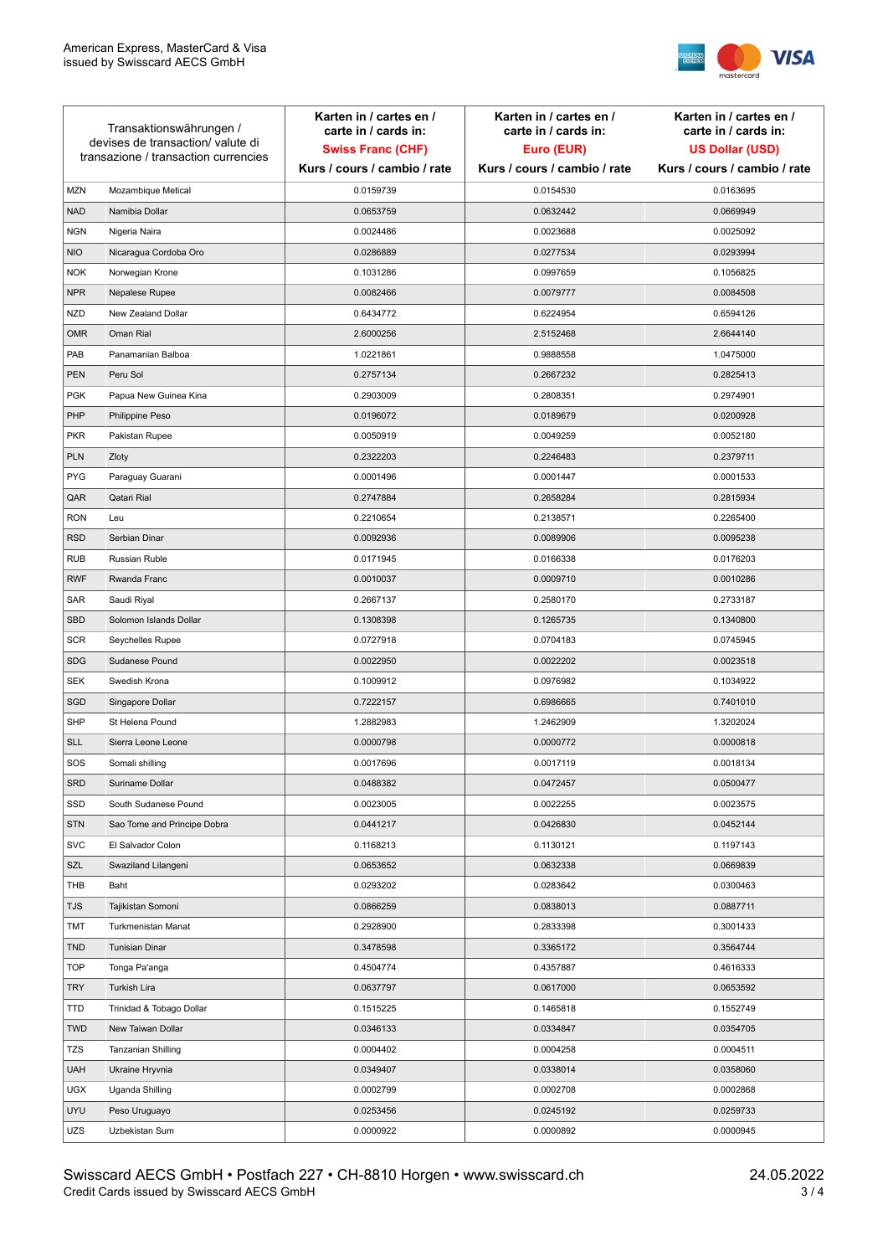

| Transaktionswährungen /<br>devises de transaction/valute di<br>transazione / transaction currencies |                             | Karten in / cartes en /<br>carte in / cards in:<br><b>Swiss Franc (CHF)</b><br>Kurs / cours / cambio / rate | Karten in / cartes en /<br>carte in / cards in:<br>Euro (EUR)<br>Kurs / cours / cambio / rate | Karten in / cartes en /<br>carte in / cards in:<br><b>US Dollar (USD)</b><br>Kurs / cours / cambio / rate |
|-----------------------------------------------------------------------------------------------------|-----------------------------|-------------------------------------------------------------------------------------------------------------|-----------------------------------------------------------------------------------------------|-----------------------------------------------------------------------------------------------------------|
|                                                                                                     |                             |                                                                                                             |                                                                                               |                                                                                                           |
| <b>MZN</b>                                                                                          | Mozambique Metical          | 0.0159739                                                                                                   | 0.0154530                                                                                     | 0.0163695                                                                                                 |
| <b>NAD</b>                                                                                          | Namibia Dollar              | 0.0653759                                                                                                   | 0.0632442                                                                                     | 0.0669949                                                                                                 |
| <b>NGN</b>                                                                                          | Nigeria Naira               | 0.0024486                                                                                                   | 0.0023688                                                                                     | 0.0025092                                                                                                 |
| <b>NIO</b>                                                                                          | Nicaragua Cordoba Oro       | 0.0286889                                                                                                   | 0.0277534                                                                                     | 0.0293994                                                                                                 |
| <b>NOK</b>                                                                                          | Norwegian Krone             | 0.1031286                                                                                                   | 0.0997659                                                                                     | 0.1056825                                                                                                 |
| <b>NPR</b>                                                                                          | Nepalese Rupee              | 0.0082466                                                                                                   | 0.0079777                                                                                     | 0.0084508                                                                                                 |
| <b>NZD</b>                                                                                          | New Zealand Dollar          | 0.6434772                                                                                                   | 0.6224954                                                                                     | 0.6594126                                                                                                 |
| <b>OMR</b>                                                                                          | Oman Rial                   | 2.6000256                                                                                                   | 2.5152468                                                                                     | 2.6644140                                                                                                 |
| PAB                                                                                                 | Panamanian Balboa           | 1.0221861                                                                                                   | 0.9888558                                                                                     | 1.0475000                                                                                                 |
| <b>PEN</b>                                                                                          | Peru Sol                    | 0.2757134                                                                                                   | 0.2667232                                                                                     | 0.2825413                                                                                                 |
| <b>PGK</b>                                                                                          | Papua New Guinea Kina       | 0.2903009                                                                                                   | 0.2808351                                                                                     | 0.2974901                                                                                                 |
| PHP                                                                                                 | Philippine Peso             | 0.0196072                                                                                                   | 0.0189679                                                                                     | 0.0200928                                                                                                 |
| <b>PKR</b>                                                                                          | Pakistan Rupee              | 0.0050919                                                                                                   | 0.0049259                                                                                     | 0.0052180                                                                                                 |
| <b>PLN</b>                                                                                          | Zloty                       | 0.2322203                                                                                                   | 0.2246483                                                                                     | 0.2379711                                                                                                 |
| <b>PYG</b>                                                                                          | Paraguay Guarani            | 0.0001496                                                                                                   | 0.0001447                                                                                     | 0.0001533                                                                                                 |
| QAR                                                                                                 | Qatari Rial                 | 0.2747884                                                                                                   | 0.2658284                                                                                     | 0.2815934                                                                                                 |
| <b>RON</b>                                                                                          | Leu                         | 0.2210654                                                                                                   | 0.2138571                                                                                     | 0.2265400                                                                                                 |
| <b>RSD</b>                                                                                          | Serbian Dinar               | 0.0092936                                                                                                   | 0.0089906                                                                                     | 0.0095238                                                                                                 |
| <b>RUB</b>                                                                                          | Russian Ruble               | 0.0171945                                                                                                   | 0.0166338                                                                                     | 0.0176203                                                                                                 |
| <b>RWF</b>                                                                                          | Rwanda Franc                | 0.0010037                                                                                                   | 0.0009710                                                                                     | 0.0010286                                                                                                 |
| SAR                                                                                                 | Saudi Riyal                 | 0.2667137                                                                                                   | 0.2580170                                                                                     | 0.2733187                                                                                                 |
| <b>SBD</b>                                                                                          | Solomon Islands Dollar      | 0.1308398                                                                                                   | 0.1265735                                                                                     | 0.1340800                                                                                                 |
| <b>SCR</b>                                                                                          | Seychelles Rupee            | 0.0727918                                                                                                   | 0.0704183                                                                                     | 0.0745945                                                                                                 |
| <b>SDG</b>                                                                                          | Sudanese Pound              | 0.0022950                                                                                                   | 0.0022202                                                                                     | 0.0023518                                                                                                 |
| <b>SEK</b>                                                                                          | Swedish Krona               | 0.1009912                                                                                                   | 0.0976982                                                                                     | 0.1034922                                                                                                 |
| SGD                                                                                                 | Singapore Dollar            | 0.7222157                                                                                                   | 0.6986665                                                                                     | 0.7401010                                                                                                 |
| <b>SHP</b>                                                                                          | St Helena Pound             | 1.2882983                                                                                                   | 1.2462909                                                                                     | 1.3202024                                                                                                 |
| <b>SLL</b>                                                                                          | Sierra Leone Leone          | 0.0000798                                                                                                   | 0.0000772                                                                                     | 0.0000818                                                                                                 |
| SOS                                                                                                 | Somali shilling             | 0.0017696                                                                                                   | 0.0017119                                                                                     | 0.0018134                                                                                                 |
| SRD                                                                                                 | Suriname Dollar             | 0.0488382                                                                                                   | 0.0472457                                                                                     | 0.0500477                                                                                                 |
| SSD                                                                                                 | South Sudanese Pound        | 0.0023005                                                                                                   | 0.0022255                                                                                     | 0.0023575                                                                                                 |
| <b>STN</b>                                                                                          | Sao Tome and Principe Dobra | 0.0441217                                                                                                   | 0.0426830                                                                                     | 0.0452144                                                                                                 |
| <b>SVC</b>                                                                                          | El Salvador Colon           | 0.1168213                                                                                                   | 0.1130121                                                                                     | 0.1197143                                                                                                 |
| SZL                                                                                                 | Swaziland Lilangeni         | 0.0653652                                                                                                   | 0.0632338                                                                                     | 0.0669839                                                                                                 |
| THB                                                                                                 | Baht                        | 0.0293202                                                                                                   | 0.0283642                                                                                     | 0.0300463                                                                                                 |
| TJS                                                                                                 | Tajikistan Somoni           | 0.0866259                                                                                                   | 0.0838013                                                                                     | 0.0887711                                                                                                 |
| <b>TMT</b>                                                                                          | Turkmenistan Manat          | 0.2928900                                                                                                   | 0.2833398                                                                                     | 0.3001433                                                                                                 |
| <b>TND</b>                                                                                          | <b>Tunisian Dinar</b>       | 0.3478598                                                                                                   | 0.3365172                                                                                     | 0.3564744                                                                                                 |
| <b>TOP</b>                                                                                          | Tonga Pa'anga               | 0.4504774                                                                                                   | 0.4357887                                                                                     | 0.4616333                                                                                                 |
| <b>TRY</b>                                                                                          | Turkish Lira                | 0.0637797                                                                                                   | 0.0617000                                                                                     | 0.0653592                                                                                                 |
| TTD                                                                                                 | Trinidad & Tobago Dollar    | 0.1515225                                                                                                   | 0.1465818                                                                                     | 0.1552749                                                                                                 |
| <b>TWD</b>                                                                                          | New Taiwan Dollar           | 0.0346133                                                                                                   | 0.0334847                                                                                     | 0.0354705                                                                                                 |
| <b>TZS</b>                                                                                          | Tanzanian Shilling          | 0.0004402                                                                                                   | 0.0004258                                                                                     | 0.0004511                                                                                                 |
| <b>UAH</b>                                                                                          | Ukraine Hryvnia             | 0.0349407                                                                                                   | 0.0338014                                                                                     | 0.0358060                                                                                                 |
| <b>UGX</b>                                                                                          | Uganda Shilling             | 0.0002799                                                                                                   | 0.0002708                                                                                     | 0.0002868                                                                                                 |
| <b>UYU</b>                                                                                          | Peso Uruguayo               | 0.0253456                                                                                                   | 0.0245192                                                                                     | 0.0259733                                                                                                 |
| UZS                                                                                                 | Uzbekistan Sum              | 0.0000922                                                                                                   | 0.0000892                                                                                     | 0.0000945                                                                                                 |